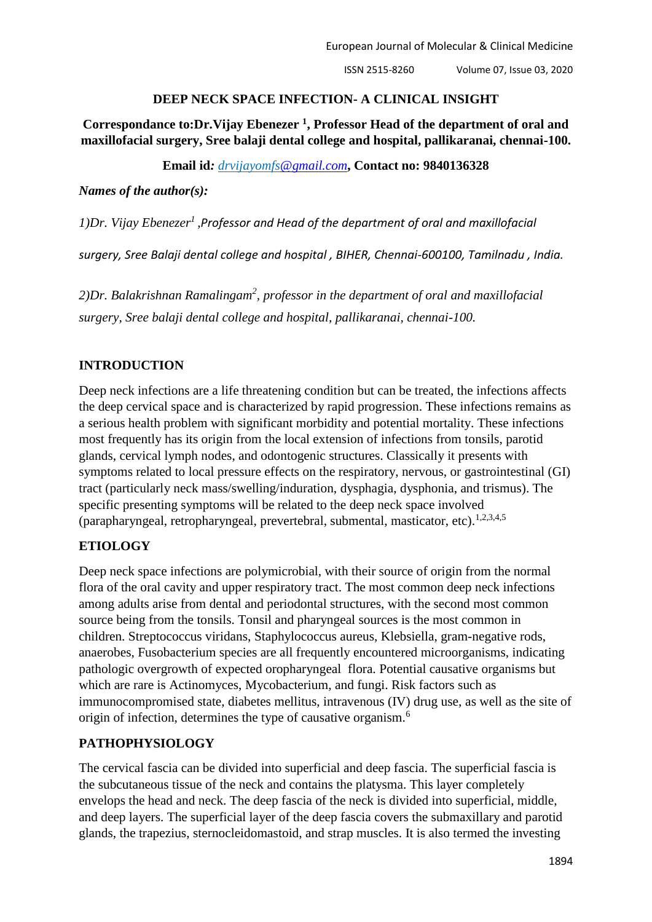#### **DEEP NECK SPACE INFECTION- A CLINICAL INSIGHT**

**Correspondance to:Dr.Vijay Ebenezer <sup>1</sup> , Professor Head of the department of oral and maxillofacial surgery, Sree balaji dental college and hospital, pallikaranai, chennai-100.**

#### **Email id***: drvijayomf[s@gmail.com](mailto:chandhini.92@gmail.com)***, Contact no: 9840136328**

*Names of the author(s):*

*1)Dr. Vijay Ebenezer<sup>1</sup> ,Professor and Head of the department of oral and maxillofacial* 

*surgery, Sree Balaji dental college and hospital , BIHER, Chennai-600100, Tamilnadu , India.*

2)Dr. Balakrishnan Ramalingam<sup>2</sup>, professor in the department of oral and maxillofacial *surgery, Sree balaji dental college and hospital, pallikaranai, chennai-100.*

### **INTRODUCTION**

Deep neck infections are a life threatening condition but can be treated, the infections affects the deep cervical space and is characterized by rapid progression. These infections remains as a serious health problem with significant morbidity and potential mortality. These infections most frequently has its origin from the local extension of infections from tonsils, parotid glands, cervical lymph nodes, and odontogenic structures. Classically it presents with symptoms related to local pressure effects on the respiratory, nervous, or gastrointestinal (GI) tract (particularly neck mass/swelling/induration, dysphagia, dysphonia, and trismus). The specific presenting symptoms will be related to the deep neck space involved (parapharyngeal, retropharyngeal, prevertebral, submental, masticator, etc).<sup>1,2,3,4,5</sup>

## **ETIOLOGY**

Deep neck space infections are polymicrobial, with their source of origin from the normal flora of the oral cavity and upper respiratory tract. The most common deep neck infections among adults arise from dental and periodontal structures, with the second most common source being from the tonsils. Tonsil and pharyngeal sources is the most common in children. Streptococcus viridans, Staphylococcus aureus, Klebsiella, gram-negative rods, anaerobes, Fusobacterium species are all frequently encountered microorganisms, indicating pathologic overgrowth of expected oropharyngeal flora. Potential causative organisms but which are rare is Actinomyces, Mycobacterium, and fungi. Risk factors such as immunocompromised state, diabetes mellitus, intravenous (IV) drug use, as well as the site of origin of infection, determines the type of causative organism.<sup>6</sup>

### **PATHOPHYSIOLOGY**

The cervical fascia can be divided into superficial and deep fascia. The superficial fascia is the subcutaneous tissue of the neck and contains the platysma. This layer completely envelops the head and neck. The deep fascia of the neck is divided into superficial, middle, and deep layers. The superficial layer of the deep fascia covers the submaxillary and parotid glands, the trapezius, sternocleidomastoid, and strap muscles. It is also termed the investing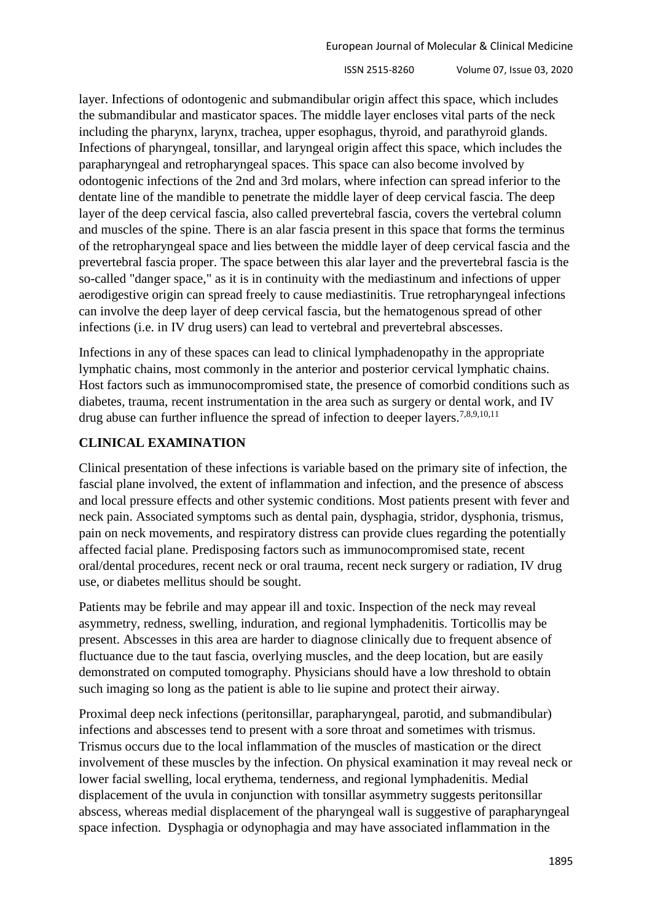layer. Infections of odontogenic and submandibular origin affect this space, which includes the submandibular and masticator spaces. The middle layer encloses vital parts of the neck including the pharynx, larynx, trachea, upper esophagus, thyroid, and parathyroid glands. Infections of pharyngeal, tonsillar, and laryngeal origin affect this space, which includes the parapharyngeal and retropharyngeal spaces. This space can also become involved by odontogenic infections of the 2nd and 3rd molars, where infection can spread inferior to the dentate line of the mandible to penetrate the middle layer of deep cervical fascia. The deep layer of the deep cervical fascia, also called prevertebral fascia, covers the vertebral column and muscles of the spine. There is an alar fascia present in this space that forms the terminus of the retropharyngeal space and lies between the middle layer of deep cervical fascia and the prevertebral fascia proper. The space between this alar layer and the prevertebral fascia is the so-called "danger space," as it is in continuity with the mediastinum and infections of upper aerodigestive origin can spread freely to cause mediastinitis. True retropharyngeal infections can involve the deep layer of deep cervical fascia, but the hematogenous spread of other infections (i.e. in IV drug users) can lead to vertebral and prevertebral abscesses.

Infections in any of these spaces can lead to clinical lymphadenopathy in the appropriate lymphatic chains, most commonly in the anterior and posterior cervical lymphatic chains. Host factors such as immunocompromised state, the presence of comorbid conditions such as diabetes, trauma, recent instrumentation in the area such as surgery or dental work, and IV drug abuse can further influence the spread of infection to deeper layers.<sup>7,8,9,10,11</sup>

# **CLINICAL EXAMINATION**

Clinical presentation of these infections is variable based on the primary site of infection, the fascial plane involved, the extent of inflammation and infection, and the presence of abscess and local pressure effects and other systemic conditions. Most patients present with fever and neck pain. Associated symptoms such as dental pain, dysphagia, stridor, dysphonia, trismus, pain on neck movements, and respiratory distress can provide clues regarding the potentially affected facial plane. Predisposing factors such as immunocompromised state, recent oral/dental procedures, recent neck or oral trauma, recent neck surgery or radiation, IV drug use, or diabetes mellitus should be sought.

Patients may be febrile and may appear ill and toxic. Inspection of the neck may reveal asymmetry, redness, swelling, induration, and regional lymphadenitis. Torticollis may be present. Abscesses in this area are harder to diagnose clinically due to frequent absence of fluctuance due to the taut fascia, overlying muscles, and the deep location, but are easily demonstrated on computed tomography. Physicians should have a low threshold to obtain such imaging so long as the patient is able to lie supine and protect their airway.

Proximal deep neck infections (peritonsillar, parapharyngeal, parotid, and submandibular) infections and abscesses tend to present with a sore throat and sometimes with trismus. Trismus occurs due to the local inflammation of the muscles of mastication or the direct involvement of these muscles by the infection. On physical examination it may reveal neck or lower facial swelling, local erythema, tenderness, and regional lymphadenitis. Medial displacement of the uvula in conjunction with tonsillar asymmetry suggests peritonsillar abscess, whereas medial displacement of the pharyngeal wall is suggestive of parapharyngeal space infection. Dysphagia or odynophagia and may have associated inflammation in the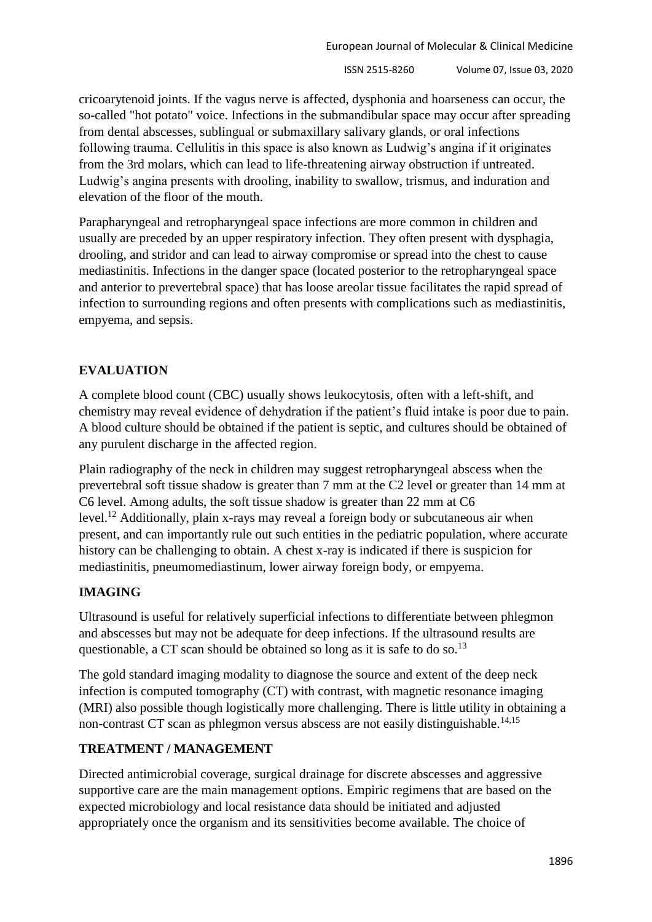cricoarytenoid joints. If the vagus nerve is affected, dysphonia and hoarseness can occur, the so-called "hot potato" voice. Infections in the submandibular space may occur after spreading from dental abscesses, sublingual or submaxillary salivary glands, or oral infections following trauma. Cellulitis in this space is also known as Ludwig's angina if it originates from the 3rd molars, which can lead to life-threatening airway obstruction if untreated. Ludwig's angina presents with drooling, inability to swallow, trismus, and induration and elevation of the floor of the mouth.

Parapharyngeal and retropharyngeal space infections are more common in children and usually are preceded by an upper respiratory infection. They often present with dysphagia, drooling, and stridor and can lead to airway compromise or spread into the chest to cause mediastinitis. Infections in the danger space (located posterior to the retropharyngeal space and anterior to prevertebral space) that has loose areolar tissue facilitates the rapid spread of infection to surrounding regions and often presents with complications such as mediastinitis, empyema, and sepsis.

# **EVALUATION**

A complete blood count (CBC) usually shows leukocytosis, often with a left-shift, and chemistry may reveal evidence of dehydration if the patient's fluid intake is poor due to pain. A blood culture should be obtained if the patient is septic, and cultures should be obtained of any purulent discharge in the affected region.

Plain radiography of the neck in children may suggest retropharyngeal abscess when the prevertebral soft tissue shadow is greater than 7 mm at the C2 level or greater than 14 mm at C6 level. Among adults, the soft tissue shadow is greater than 22 mm at C6 level.<sup>12</sup> Additionally, plain x-rays may reveal a foreign body or subcutaneous air when present, and can importantly rule out such entities in the pediatric population, where accurate history can be challenging to obtain. A chest x-ray is indicated if there is suspicion for mediastinitis, pneumomediastinum, lower airway foreign body, or empyema.

## **IMAGING**

Ultrasound is useful for relatively superficial infections to differentiate between phlegmon and abscesses but may not be adequate for deep infections. If the ultrasound results are questionable, a CT scan should be obtained so long as it is safe to do so.<sup>13</sup>

The gold standard imaging modality to diagnose the source and extent of the deep neck infection is computed tomography (CT) with contrast, with magnetic resonance imaging (MRI) also possible though logistically more challenging. There is little utility in obtaining a non-contrast CT scan as phlegmon versus abscess are not easily distinguishable.<sup>14,15</sup>

### **TREATMENT / MANAGEMENT**

Directed antimicrobial coverage, surgical drainage for discrete abscesses and aggressive supportive care are the main management options. Empiric regimens that are based on the expected microbiology and local resistance data should be initiated and adjusted appropriately once the organism and its sensitivities become available. The choice of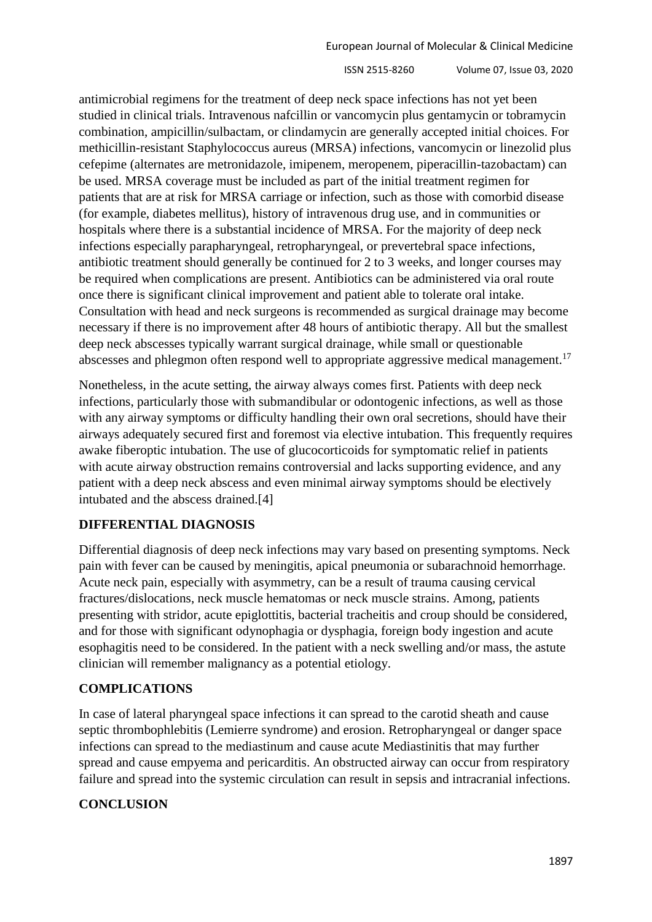antimicrobial regimens for the treatment of deep neck space infections has not yet been studied in clinical trials. Intravenous nafcillin or vancomycin plus gentamycin or tobramycin combination, ampicillin/sulbactam, or clindamycin are generally accepted initial choices. For methicillin-resistant Staphylococcus aureus (MRSA) infections, vancomycin or linezolid plus cefepime (alternates are metronidazole, imipenem, meropenem, piperacillin-tazobactam) can be used. MRSA coverage must be included as part of the initial treatment regimen for patients that are at risk for MRSA carriage or infection, such as those with comorbid disease (for example, diabetes mellitus), history of intravenous drug use, and in communities or hospitals where there is a substantial incidence of MRSA. For the majority of deep neck infections especially parapharyngeal, retropharyngeal, or prevertebral space infections, antibiotic treatment should generally be continued for 2 to 3 weeks, and longer courses may be required when complications are present. Antibiotics can be administered via oral route once there is significant clinical improvement and patient able to tolerate oral intake. Consultation with head and neck surgeons is recommended as surgical drainage may become necessary if there is no improvement after 48 hours of antibiotic therapy. All but the smallest deep neck abscesses typically warrant surgical drainage, while small or questionable abscesses and phlegmon often respond well to appropriate aggressive medical management.<sup>17</sup>

Nonetheless, in the acute setting, the airway always comes first. Patients with deep neck infections, particularly those with submandibular or odontogenic infections, as well as those with any airway symptoms or difficulty handling their own oral secretions, should have their airways adequately secured first and foremost via elective intubation. This frequently requires awake fiberoptic intubation. The use of glucocorticoids for symptomatic relief in patients with acute airway obstruction remains controversial and lacks supporting evidence, and any patient with a deep neck abscess and even minimal airway symptoms should be electively intubated and the abscess drained[.\[4\]](https://www.statpearls.com/kb/viewarticle/20292#ref_30770139)

### **DIFFERENTIAL DIAGNOSIS**

Differential diagnosis of deep neck infections may vary based on presenting symptoms. Neck pain with fever can be caused by meningitis, apical pneumonia or subarachnoid hemorrhage. Acute neck pain, especially with asymmetry, can be a result of trauma causing cervical fractures/dislocations, neck muscle hematomas or neck muscle strains. Among, patients presenting with stridor, acute epiglottitis, bacterial tracheitis and croup should be considered, and for those with significant odynophagia or dysphagia, foreign body ingestion and acute esophagitis need to be considered. In the patient with a neck swelling and/or mass, the astute clinician will remember malignancy as a potential etiology.

### **COMPLICATIONS**

In case of lateral pharyngeal space infections it can spread to the carotid sheath and cause septic thrombophlebitis (Lemierre syndrome) and erosion. Retropharyngeal or danger space infections can spread to the mediastinum and cause acute Mediastinitis that may further spread and cause empyema and pericarditis. An obstructed airway can occur from respiratory failure and spread into the systemic circulation can result in sepsis and intracranial infections.

## **CONCLUSION**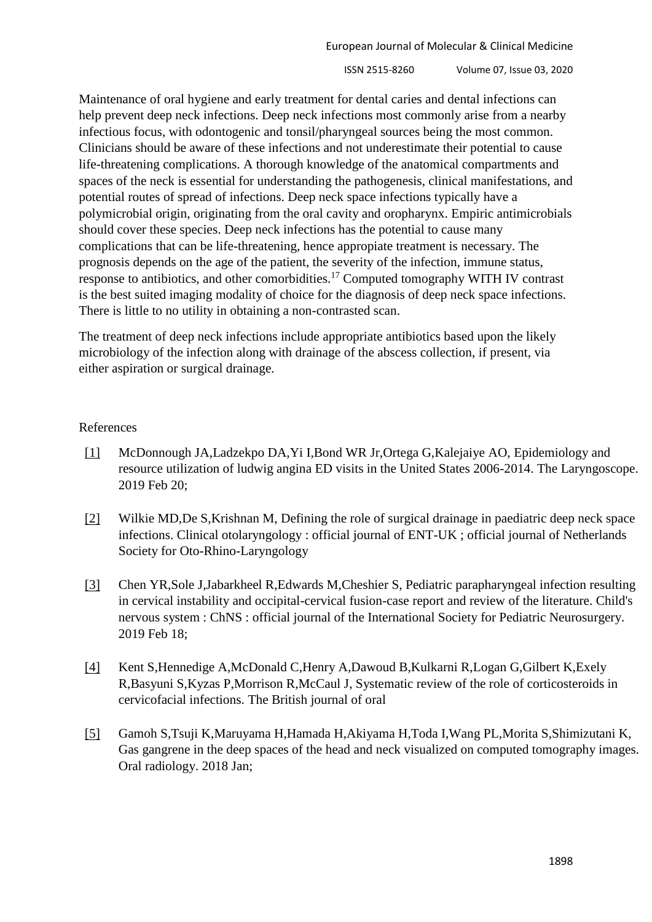Maintenance of oral hygiene and early treatment for dental caries and dental infections can help prevent deep neck infections. Deep neck infections most commonly arise from a nearby infectious focus, with odontogenic and tonsil/pharyngeal sources being the most common. Clinicians should be aware of these infections and not underestimate their potential to cause life-threatening complications. A thorough knowledge of the anatomical compartments and spaces of the neck is essential for understanding the pathogenesis, clinical manifestations, and potential routes of spread of infections. Deep neck space infections typically have a polymicrobial origin, originating from the oral cavity and oropharynx. Empiric antimicrobials should cover these species. Deep neck infections has the potential to cause many complications that can be life-threatening, hence appropiate treatment is necessary. The prognosis depends on the age of the patient, the severity of the infection, immune status, response to antibiotics, and other comorbidities.<sup>17</sup> Computed tomography WITH IV contrast is the best suited imaging modality of choice for the diagnosis of deep neck space infections. There is little to no utility in obtaining a non-contrasted scan.

The treatment of deep neck infections include appropriate antibiotics based upon the likely microbiology of the infection along with drainage of the abscess collection, if present, via either aspiration or surgical drainage.

#### References

- [\[1\]](https://www.statpearls.com/kb/viewarticle/20292#link_30786031) McDonnough JA,Ladzekpo DA,Yi I,Bond WR Jr,Ortega G,Kalejaiye AO, Epidemiology and resource utilization of ludwig angina ED visits in the United States 2006-2014. The Laryngoscope. 2019 Feb 20;
- [\[2\]](https://www.statpearls.com/kb/viewarticle/20292#link_30784193) Wilkie MD,De S,Krishnan M, Defining the role of surgical drainage in paediatric deep neck space infections. Clinical otolaryngology : official journal of ENT-UK ; official journal of Netherlands Society for Oto-Rhino-Laryngology
- [\[3\]](https://www.statpearls.com/kb/viewarticle/20292#link_30778663) Chen YR,Sole J,Jabarkheel R,Edwards M,Cheshier S, Pediatric parapharyngeal infection resulting in cervical instability and occipital-cervical fusion-case report and review of the literature. Child's nervous system : ChNS : official journal of the International Society for Pediatric Neurosurgery. 2019 Feb 18;
- [\[4\]](https://www.statpearls.com/kb/viewarticle/20292#link_30770139) Kent S,Hennedige A,McDonald C,Henry A,Dawoud B,Kulkarni R,Logan G,Gilbert K,Exely R,Basyuni S,Kyzas P,Morrison R,McCaul J, Systematic review of the role of corticosteroids in cervicofacial infections. The British journal of oral
- [\[5\]](https://www.statpearls.com/kb/viewarticle/20292#link_30484087) Gamoh S,Tsuji K,Maruyama H,Hamada H,Akiyama H,Toda I,Wang PL,Morita S,Shimizutani K, Gas gangrene in the deep spaces of the head and neck visualized on computed tomography images. Oral radiology. 2018 Jan;